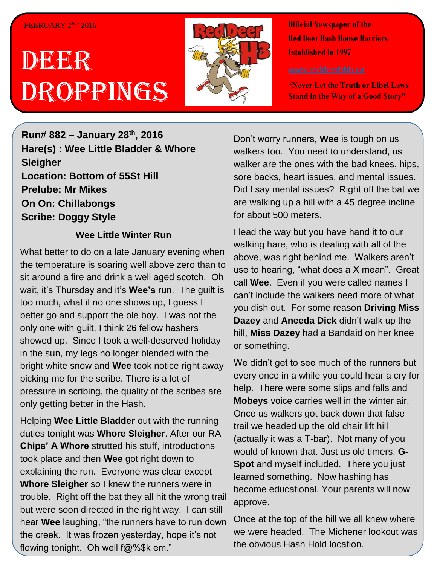#### FEBRUARY 2ND 2016

# DEER Droppings



**Official Newspaper of the Red Deer Hash House Harriers Established In 1997** 

**"Never Let the Truth or Libel Laws Stand in the Way of a Good Story"**

**Run# 882 – January 28th, 2016 Hare(s) : Wee Little Bladder & Whore Sleigher Location: Bottom of 55St Hill Prelube: Mr Mikes On On: Chillabongs Scribe: Doggy Style**

#### **Wee Little Winter Run**

What better to do on a late January evening when the temperature is soaring well above zero than to sit around a fire and drink a well aged scotch. Oh wait, it's Thursday and it's **Wee's** run. The guilt is too much, what if no one shows up, I guess I better go and support the ole boy. I was not the only one with guilt, I think 26 fellow hashers showed up. Since I took a well-deserved holiday in the sun, my legs no longer blended with the bright white snow and **Wee** took notice right away picking me for the scribe. There is a lot of pressure in scribing, the quality of the scribes are only getting better in the Hash.

Helping **Wee Little Bladder** out with the running duties tonight was **Whore Sleigher**. After our RA **Chips' A Whore** strutted his stuff, introductions took place and then **Wee** got right down to explaining the run. Everyone was clear except **Whore Sleigher** so I knew the runners were in trouble. Right off the bat they all hit the wrong trail but were soon directed in the right way. I can still hear **Wee** laughing, "the runners have to run down the creek. It was frozen yesterday, hope it's not flowing tonight. Oh well f@%\$k em."

Don't worry runners, **Wee** is tough on us walkers too. You need to understand, us walker are the ones with the bad knees, hips, sore backs, heart issues, and mental issues. Did I say mental issues? Right off the bat we are walking up a hill with a 45 degree incline for about 500 meters.

I lead the way but you have hand it to our walking hare, who is dealing with all of the above, was right behind me. Walkers aren't use to hearing, "what does a X mean". Great call **Wee**. Even if you were called names I can't include the walkers need more of what you dish out. For some reason **Driving Miss Dazey** and **Aneeda Dick** didn't walk up the hill, **Miss Dazey** had a Bandaid on her knee or something.

We didn't get to see much of the runners but every once in a while you could hear a cry for help. There were some slips and falls and **Mobeys** voice carries well in the winter air. Once us walkers got back down that false trail we headed up the old chair lift hill (actually it was a T-bar). Not many of you would of known that. Just us old timers, **G-Spot** and myself included. There you just learned something. Now hashing has become educational. Your parents will now approve.

Once at the top of the hill we all knew where we were headed. The Michener lookout was the obvious Hash Hold location.